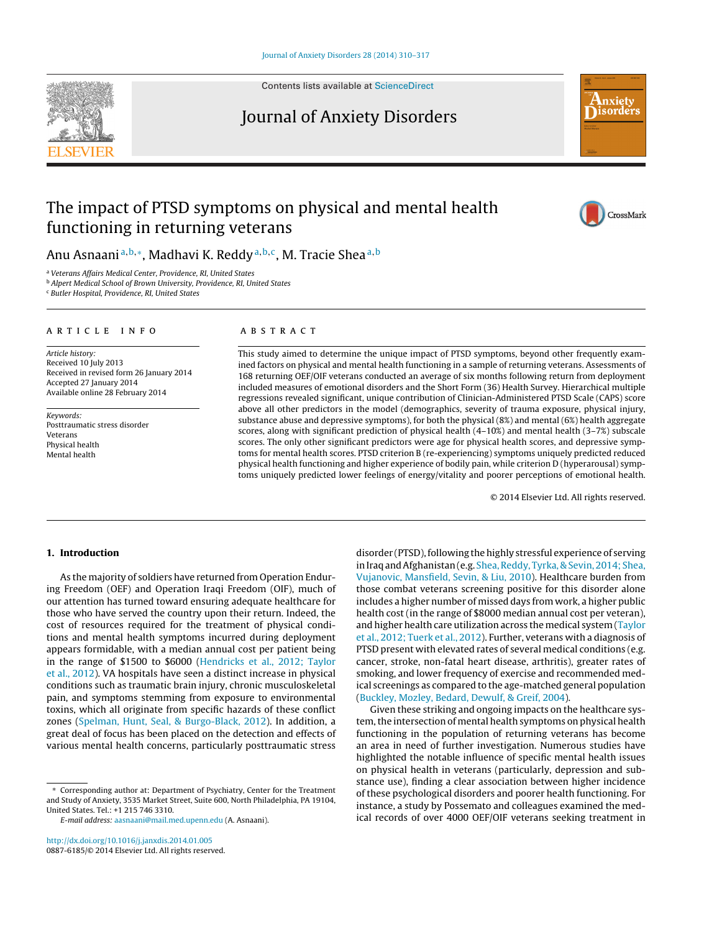

Contents lists available at [ScienceDirect](http://www.sciencedirect.com/science/journal/08876185)

## Journal of Anxiety Disorders



## The impact of PTSD symptoms on physical and mental health functioning in returning veterans

CrossMark

Anu Asnaani<sup>a, b,</sup>\*, Madhavi K. Reddy<sup>a, b, c</sup>, M. Tracie Shea<sup>a, b</sup>

<sup>a</sup> Veterans Affairs Medical Center, Providence, RI, United States

<sup>b</sup> Alpert Medical School of Brown University, Providence, RI, United States

<sup>c</sup> Butler Hospital, Providence, RI, United States

#### a r t i c l e i n f o

Article history: Received 10 July 2013 Received in revised form 26 January 2014 Accepted 27 January 2014 Available online 28 February 2014

Keywords: Posttraumatic stress disorder Veterans Physical health Mental health

#### A B S T R A C T

This study aimed to determine the unique impact of PTSD symptoms, beyond other frequently examined factors on physical and mental health functioning in a sample of returning veterans. Assessments of 168 returning OEF/OIF veterans conducted an average of six months following return from deployment included measures of emotional disorders and the Short Form (36) Health Survey. Hierarchical multiple regressions revealed significant, unique contribution of Clinician-Administered PTSD Scale (CAPS) score above all other predictors in the model (demographics, severity of trauma exposure, physical injury, substance abuse and depressive symptoms), for both the physical (8%) and mental (6%) health aggregate scores, along with significant prediction of physical health (4–10%) and mental health (3–7%) subscale scores. The only other significant predictors were age for physical health scores, and depressive symptoms for mental health scores. PTSD criterion B (re-experiencing) symptoms uniquely predicted reduced physical health functioning and higher experience of bodily pain, while criterion D (hyperarousal) symptoms uniquely predicted lower feelings of energy/vitality and poorer perceptions of emotional health.

© 2014 Elsevier Ltd. All rights reserved.

### **1. Introduction**

As the majority of soldiers have returned from Operation Enduring Freedom (OEF) and Operation Iraqi Freedom (OIF), much of our attention has turned toward ensuring adequate healthcare for those who have served the country upon their return. Indeed, the cost of resources required for the treatment of physical conditions and mental health symptoms incurred during deployment appears formidable, with a median annual cost per patient being in the range of \$1500 to \$6000 [\(Hendricks](#page--1-0) et [al.,](#page--1-0) [2012;](#page--1-0) [Taylor](#page--1-0) et [al.,](#page--1-0) [2012\).](#page--1-0) VA hospitals have seen a distinct increase in physical conditions such as traumatic brain injury, chronic musculoskeletal pain, and symptoms stemming from exposure to environmental toxins, which all originate from specific hazards of these conflict zones [\(Spelman,](#page--1-0) [Hunt,](#page--1-0) [Seal,](#page--1-0) [&](#page--1-0) [Burgo-Black,](#page--1-0) [2012\).](#page--1-0) In addition, a great deal of focus has been placed on the detection and effects of various mental health concerns, particularly posttraumatic stress

∗ Corresponding author at: Department of Psychiatry, Center for the Treatment and Study of Anxiety, 3535 Market Street, Suite 600, North Philadelphia, PA 19104, United States. Tel.: +1 215 746 3310.

E-mail address: [aasnaani@mail.med.upenn.edu](mailto:aasnaani@mail.med.upenn.edu) (A. Asnaani).

disorder (PTSD), following the highly stressful experience of serving in Iraq and Afghanistan (e.g. Shea, Reddy, [Tyrka,](#page--1-0) [&](#page--1-0) [Sevin,](#page--1-0) [2014;](#page--1-0) [Shea,](#page--1-0) [Vujanovic,](#page--1-0) [Mansfield,](#page--1-0) [Sevin,](#page--1-0) [&](#page--1-0) [Liu,](#page--1-0) [2010\).](#page--1-0) Healthcare burden from those combat veterans screening positive for this disorder alone includes a higher number of missed days from work, a higher public health cost (in the range of \$8000 median annual cost per veteran), and higher health care utilization across the medical system ([Taylor](#page--1-0) et [al.,](#page--1-0) [2012;](#page--1-0) [Tuerk](#page--1-0) et [al.,](#page--1-0) [2012\).](#page--1-0) Further, veterans with a diagnosis of PTSD present with elevated rates of several medical conditions (e.g. cancer, stroke, non-fatal heart disease, arthritis), greater rates of smoking, and lower frequency of exercise and recommended medical screenings as compared to the age-matched general population [\(Buckley,](#page--1-0) [Mozley,](#page--1-0) [Bedard,](#page--1-0) [Dewulf,](#page--1-0) [&](#page--1-0) [Greif,](#page--1-0) [2004\).](#page--1-0)

Given these striking and ongoing impacts on the healthcare system, the intersection of mental health symptoms on physical health functioning in the population of returning veterans has become an area in need of further investigation. Numerous studies have highlighted the notable influence of specific mental health issues on physical health in veterans (particularly, depression and substance use), finding a clear association between higher incidence of these psychological disorders and poorer health functioning. For instance, a study by Possemato and colleagues examined the medical records of over 4000 OEF/OIF veterans seeking treatment in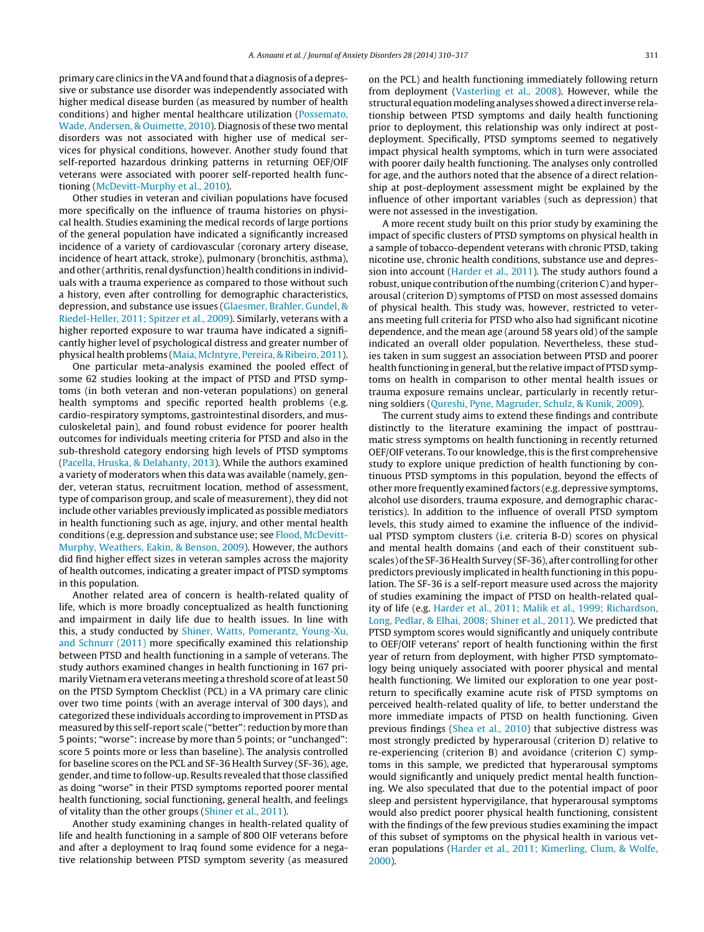primary care clinics in theVAand found that a diagnosis of a depressive or substance use disorder was independently associated with higher medical disease burden (as measured by number of health conditions) and higher mental healthcare utilization [\(Possemato,](#page--1-0) [Wade,](#page--1-0) [Andersen,](#page--1-0) [&](#page--1-0) [Ouimette,](#page--1-0) [2010\).](#page--1-0) Diagnosis of these two mental disorders was not associated with higher use of medical services for physical conditions, however. Another study found that self-reported hazardous drinking patterns in returning OEF/OIF veterans were associated with poorer self-reported health functioning [\(McDevitt-Murphy](#page--1-0) et [al.,](#page--1-0) [2010\).](#page--1-0)

Other studies in veteran and civilian populations have focused more specifically on the influence of trauma histories on physical health. Studies examining the medical records of large portions of the general population have indicated a significantly increased incidence of a variety of cardiovascular (coronary artery disease, incidence of heart attack, stroke), pulmonary (bronchitis, asthma), and other (arthritis, renal dysfunction) health conditions in individuals with a trauma experience as compared to those without such a history, even after controlling for demographic characteristics, depression, and substance use issues ([Glaesmer,](#page--1-0) [Brahler,](#page--1-0) [Gundel,](#page--1-0) [&](#page--1-0) [Riedel-Heller,](#page--1-0) [2011;](#page--1-0) [Spitzer](#page--1-0) et [al.,](#page--1-0) [2009\).](#page--1-0) Similarly, veterans with a higher reported exposure to war trauma have indicated a significantly higher level of psychological distress and greater number of physical health problems ([Maia,](#page--1-0) [McIntyre,](#page--1-0) [Pereira,](#page--1-0) [&](#page--1-0) [Ribeiro,](#page--1-0) [2011\).](#page--1-0)

One particular meta-analysis examined the pooled effect of some 62 studies looking at the impact of PTSD and PTSD symptoms (in both veteran and non-veteran populations) on general health symptoms and specific reported health problems (e.g. cardio-respiratory symptoms, gastrointestinal disorders, and musculoskeletal pain), and found robust evidence for poorer health outcomes for individuals meeting criteria for PTSD and also in the sub-threshold category endorsing high levels of PTSD symptoms ([Pacella,](#page--1-0) [Hruska,](#page--1-0) [&](#page--1-0) [Delahanty,](#page--1-0) [2013\).](#page--1-0) While the authors examined a variety of moderators when this data was available (namely, gender, veteran status, recruitment location, method of assessment, type of comparison group, and scale of measurement), they did not include other variables previously implicated as possible mediators in health functioning such as age, injury, and other mental health conditions (e.g. depression and substance use; see [Flood,](#page--1-0) [McDevitt-](#page--1-0)Murphy, [Weathers,](#page--1-0) [Eakin,](#page--1-0) [&](#page--1-0) [Benson,](#page--1-0) [2009\).](#page--1-0) However, the authors did find higher effect sizes in veteran samples across the majority of health outcomes, indicating a greater impact of PTSD symptoms in this population.

Another related area of concern is health-related quality of life, which is more broadly conceptualized as health functioning and impairment in daily life due to health issues. In line with this, a study conducted by [Shiner,](#page--1-0) [Watts,](#page--1-0) [Pomerantz,](#page--1-0) [Young-Xu,](#page--1-0) [and](#page--1-0) [Schnurr](#page--1-0) [\(2011\)](#page--1-0) more specifically examined this relationship between PTSD and health functioning in a sample of veterans. The study authors examined changes in health functioning in 167 primarilyVietnam era veterans meeting a threshold score of atleast 50 on the PTSD Symptom Checklist (PCL) in a VA primary care clinic over two time points (with an average interval of 300 days), and categorized these individuals according to improvementin PTSD as measured by this self-report scale ("better": reduction by more than 5 points; "worse": increase by more than 5 points; or "unchanged": score 5 points more or less than baseline). The analysis controlled for baseline scores on the PCL and SF-36 Health Survey (SF-36), age, gender, and time to follow-up. Results revealed that those classified as doing "worse" in their PTSD symptoms reported poorer mental health functioning, social functioning, general health, and feelings of vitality than the other groups [\(Shiner](#page--1-0) et [al.,](#page--1-0) [2011\).](#page--1-0)

Another study examining changes in health-related quality of life and health functioning in a sample of 800 OIF veterans before and after a deployment to Iraq found some evidence for a negative relationship between PTSD symptom severity (as measured

on the PCL) and health functioning immediately following return from deployment [\(Vasterling](#page--1-0) et [al.,](#page--1-0) [2008\).](#page--1-0) However, while the structural equation modeling analyses showed a direct inverse relationship between PTSD symptoms and daily health functioning prior to deployment, this relationship was only indirect at postdeployment. Specifically, PTSD symptoms seemed to negatively impact physical health symptoms, which in turn were associated with poorer daily health functioning. The analyses only controlled for age, and the authors noted that the absence of a direct relationship at post-deployment assessment might be explained by the influence of other important variables (such as depression) that were not assessed in the investigation.

A more recent study built on this prior study by examining the impact of specific clusters of PTSD symptoms on physical health in a sample of tobacco-dependent veterans with chronic PTSD, taking nicotine use, chronic health conditions, substance use and depression into account ([Harder](#page--1-0) et [al.,](#page--1-0) [2011\).](#page--1-0) The study authors found a robust, unique contribution of the numbing (criterion  $C$ ) and hyperarousal (criterion D) symptoms of PTSD on most assessed domains of physical health. This study was, however, restricted to veterans meeting full criteria for PTSD who also had significant nicotine dependence, and the mean age (around 58 years old) of the sample indicated an overall older population. Nevertheless, these studies taken in sum suggest an association between PTSD and poorer health functioning in general, but the relative impact of PTSD symptoms on health in comparison to other mental health issues or trauma exposure remains unclear, particularly in recently returning soldiers [\(Qureshi,](#page--1-0) [Pyne,](#page--1-0) [Magruder,](#page--1-0) [Schulz,](#page--1-0) [&](#page--1-0) [Kunik,](#page--1-0) [2009\).](#page--1-0)

The current study aims to extend these findings and contribute distinctly to the literature examining the impact of posttraumatic stress symptoms on health functioning in recently returned OEF/OIF veterans. To our knowledge, this is the first comprehensive study to explore unique prediction of health functioning by continuous PTSD symptoms in this population, beyond the effects of other more frequently examined factors (e.g. depressive symptoms, alcohol use disorders, trauma exposure, and demographic characteristics). In addition to the influence of overall PTSD symptom levels, this study aimed to examine the influence of the individual PTSD symptom clusters (i.e. criteria B-D) scores on physical and mental health domains (and each of their constituent subscales) of the SF-36 Health Survey (SF-36), after controlling for other predictors previously implicated in health functioning in this population. The SF-36 is a self-report measure used across the majority of studies examining the impact of PTSD on health-related quality of life (e.g. [Harder](#page--1-0) et [al.,](#page--1-0) [2011;](#page--1-0) [Malik](#page--1-0) et [al.,](#page--1-0) [1999;](#page--1-0) [Richardson,](#page--1-0) [Long,](#page--1-0) [Pedlar,](#page--1-0) [&](#page--1-0) [Elhai,](#page--1-0) [2008;](#page--1-0) [Shiner](#page--1-0) et [al.,](#page--1-0) [2011\).](#page--1-0) We predicted that PTSD symptom scores would significantly and uniquely contribute to OEF/OIF veterans' report of health functioning within the first year of return from deployment, with higher PTSD symptomatology being uniquely associated with poorer physical and mental health functioning. We limited our exploration to one year postreturn to specifically examine acute risk of PTSD symptoms on perceived health-related quality of life, to better understand the more immediate impacts of PTSD on health functioning. Given previous findings [\(Shea](#page--1-0) et [al.,](#page--1-0) [2010\)](#page--1-0) that subjective distress was most strongly predicted by hyperarousal (criterion D) relative to re-experiencing (criterion B) and avoidance (criterion C) symptoms in this sample, we predicted that hyperarousal symptoms would significantly and uniquely predict mental health functioning. We also speculated that due to the potential impact of poor sleep and persistent hypervigilance, that hyperarousal symptoms would also predict poorer physical health functioning, consistent with the findings of the few previous studies examining the impact of this subset of symptoms on the physical health in various veteran populations ([Harder](#page--1-0) et [al.,](#page--1-0) [2011;](#page--1-0) [Kimerling,](#page--1-0) [Clum,](#page--1-0) [&](#page--1-0) [Wolfe,](#page--1-0) [2000\).](#page--1-0)